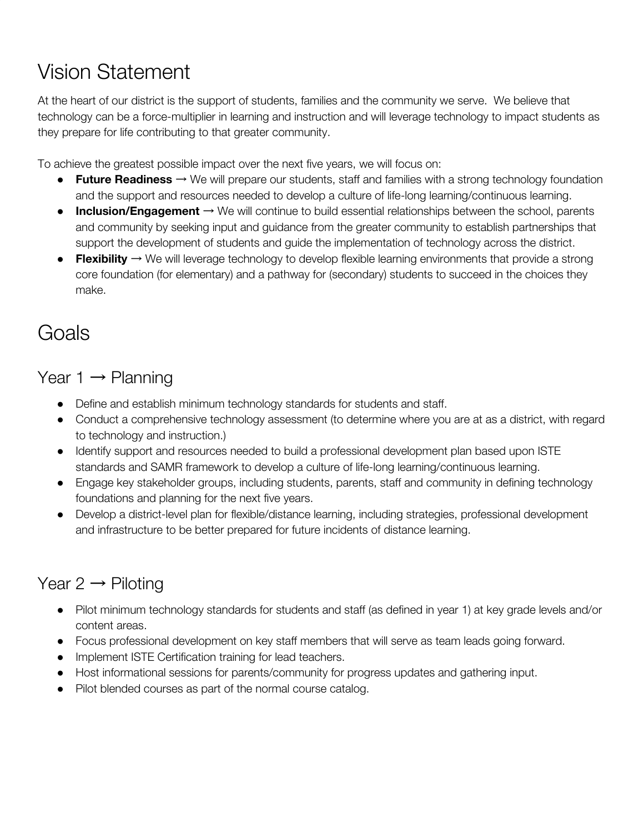# Vision Statement

At the heart of our district is the support of students, families and the community we serve. We believe that technology can be a force-multiplier in learning and instruction and will leverage technology to impact students as they prepare for life contributing to that greater community.

To achieve the greatest possible impact over the next five years, we will focus on:

- **Future Readiness** → We will prepare our students, staff and families with a strong technology foundation and the support and resources needed to develop a culture of life-long learning/continuous learning.
- **Inclusion/Engagement** → We will continue to build essential relationships between the school, parents and community by seeking input and guidance from the greater community to establish partnerships that support the development of students and guide the implementation of technology across the district.
- **Flexibility** → We will leverage technology to develop flexible learning environments that provide a strong core foundation (for elementary) and a pathway for (secondary) students to succeed in the choices they make.

## **Goals**

Year  $1 \rightarrow$  Planning

- Define and establish minimum technology standards for students and staff.
- Conduct a comprehensive technology assessment (to determine where you are at as a district, with regard to technology and instruction.)
- Identify support and resources needed to build a professional development plan based upon ISTE standards and SAMR framework to develop a culture of life-long learning/continuous learning.
- Engage key stakeholder groups, including students, parents, staff and community in defining technology foundations and planning for the next five years.
- Develop a district-level plan for flexible/distance learning, including strategies, professional development and infrastructure to be better prepared for future incidents of distance learning.

### Year  $2 \rightarrow$  Piloting

- Pilot minimum technology standards for students and staff (as defined in year 1) at key grade levels and/or content areas.
- Focus professional development on key staff members that will serve as team leads going forward.
- Implement ISTE Certification training for lead teachers.
- Host informational sessions for parents/community for progress updates and gathering input.
- Pilot blended courses as part of the normal course catalog.